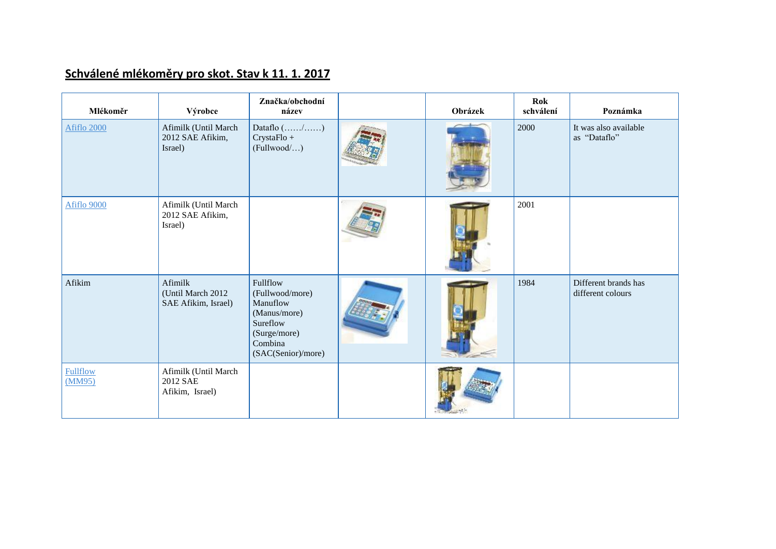## **Schválené mlékoměry pro skot. Stav k 11. 1. 2017**

| Mlékoměr                  | Výrobce                                             | Značka/obchodní<br>název                                                                                             | Obrázek | <b>Rok</b><br>schválení | Poznámka                                  |
|---------------------------|-----------------------------------------------------|----------------------------------------------------------------------------------------------------------------------|---------|-------------------------|-------------------------------------------|
| Afiflo 2000               | Afimilk (Until March<br>2012 SAE Afikim,<br>Israel) | Dataflo $(\ldots, \ldots, \ldots)$<br>CrystaFlo +<br>(Fullwood/)                                                     |         | 2000                    | It was also available<br>as "Dataflo"     |
| Afiflo 9000               | Afimilk (Until March<br>2012 SAE Afikim,<br>Israel) |                                                                                                                      |         | 2001                    |                                           |
| Afikim                    | Afimilk<br>(Until March 2012<br>SAE Afikim, Israel) | Fullflow<br>(Fullwood/more)<br>Manuflow<br>(Manus/more)<br>Sureflow<br>(Surge/more)<br>Combina<br>(SAC(Senior)/more) |         | 1984                    | Different brands has<br>different colours |
| <b>Fullflow</b><br>(MM95) | Afimilk (Until March<br>2012 SAE<br>Afikim, Israel) |                                                                                                                      |         |                         |                                           |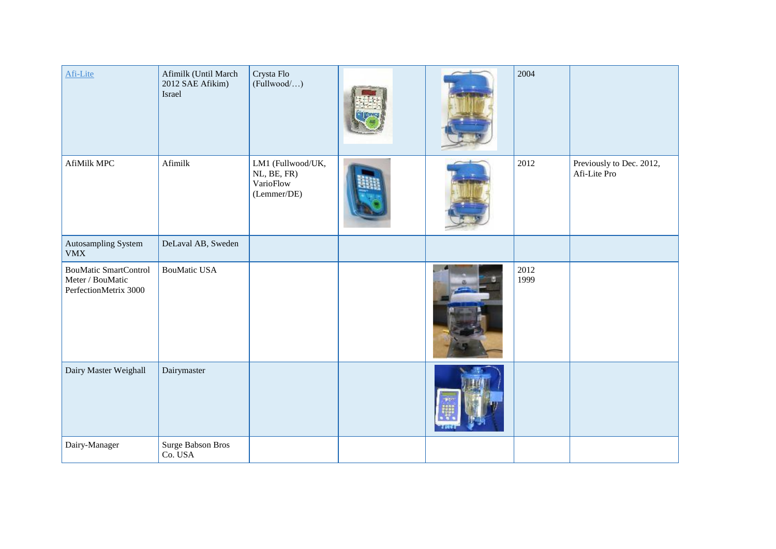| Afi-Lite                                                                  | Afimilk (Until March<br>2012 SAE Afikim)<br>Israel | Crysta Flo<br>(Fullwood)                                     |  | 2004         |                                          |
|---------------------------------------------------------------------------|----------------------------------------------------|--------------------------------------------------------------|--|--------------|------------------------------------------|
| AfiMilk MPC                                                               | Afimilk                                            | LM1 (Fullwood/UK,<br>NL, BE, FR)<br>VarioFlow<br>(Lemmer/DE) |  | 2012         | Previously to Dec. 2012,<br>Afi-Lite Pro |
| Autosampling System<br><b>VMX</b>                                         | DeLaval AB, Sweden                                 |                                                              |  |              |                                          |
| <b>BouMatic SmartControl</b><br>Meter / BouMatic<br>PerfectionMetrix 3000 | <b>BouMatic USA</b>                                |                                                              |  | 2012<br>1999 |                                          |
| Dairy Master Weighall                                                     | Dairymaster                                        |                                                              |  |              |                                          |
| Dairy-Manager                                                             | Surge Babson Bros<br>Co. USA                       |                                                              |  |              |                                          |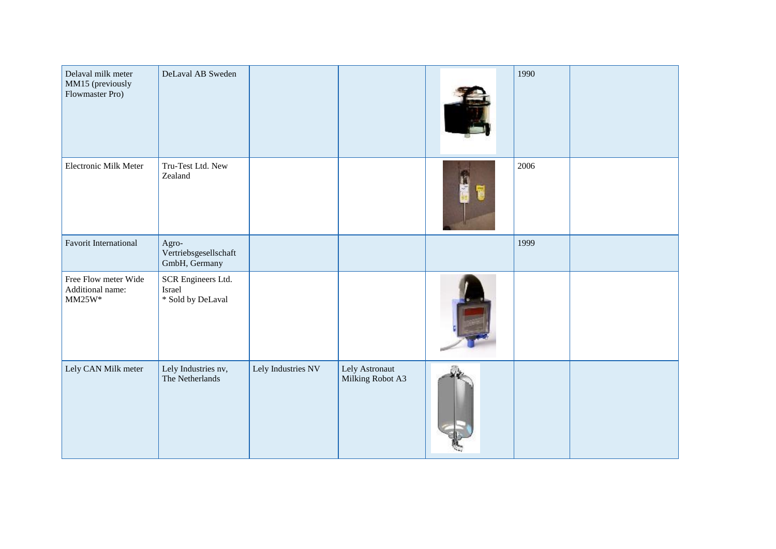| Delaval milk meter<br>MM15 (previously<br>Flowmaster Pro) | DeLaval AB Sweden                                 |                    |                                    | 1990 |  |
|-----------------------------------------------------------|---------------------------------------------------|--------------------|------------------------------------|------|--|
| Electronic Milk Meter                                     | Tru-Test Ltd. New<br>Zealand                      |                    |                                    | 2006 |  |
| Favorit International                                     | Agro-<br>Vertriebsgesellschaft<br>GmbH, Germany   |                    |                                    | 1999 |  |
| Free Flow meter Wide<br>Additional name:<br>$MM25W*$      | SCR Engineers Ltd.<br>Israel<br>* Sold by DeLaval |                    |                                    |      |  |
| Lely CAN Milk meter                                       | Lely Industries nv,<br>The Netherlands            | Lely Industries NV | Lely Astronaut<br>Milking Robot A3 |      |  |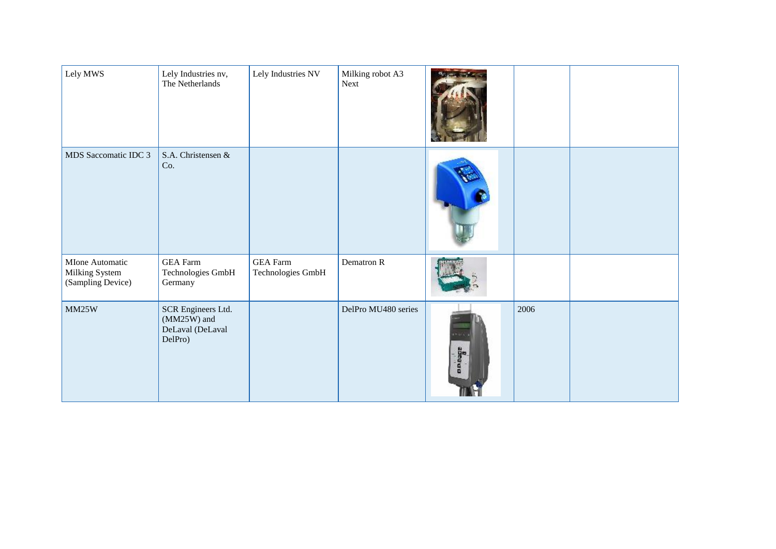| Lely MWS                                               | Lely Industries nv,<br>The Netherlands                             | Lely Industries NV                   | Milking robot A3<br>Next |                   |      |  |
|--------------------------------------------------------|--------------------------------------------------------------------|--------------------------------------|--------------------------|-------------------|------|--|
| MDS Saccomatic IDC 3                                   | S.A. Christensen &<br>Co.                                          |                                      |                          |                   |      |  |
| MIone Automatic<br>Milking System<br>(Sampling Device) | <b>GEA</b> Farm<br>Technologies GmbH<br>Germany                    | <b>GEA</b> Farm<br>Technologies GmbH | Dematron R               |                   |      |  |
| MM25W                                                  | SCR Engineers Ltd.<br>$(MM25W)$ and<br>DeLaval (DeLaval<br>DelPro) |                                      | DelPro MU480 series      | $+10.1$<br>abeara | 2006 |  |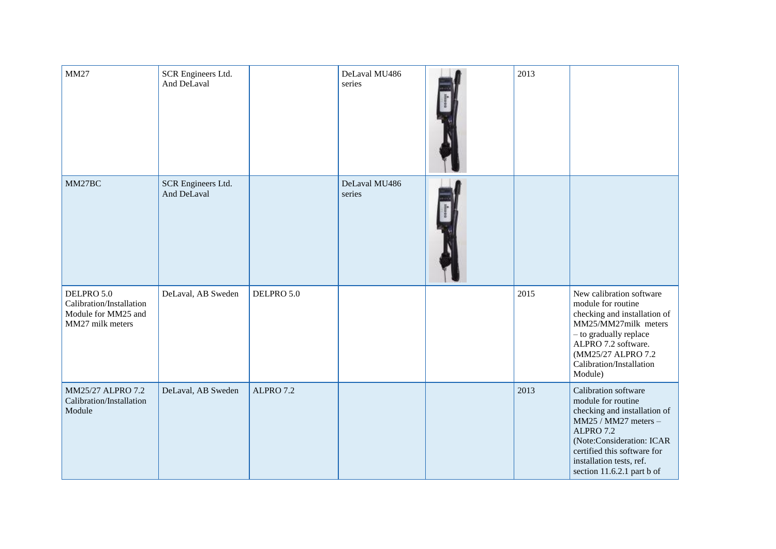| <b>MM27</b>                                                                       | SCR Engineers Ltd.<br>And DeLaval |            | DeLaval MU486<br>series | 2013 |                                                                                                                                                                                                                                       |
|-----------------------------------------------------------------------------------|-----------------------------------|------------|-------------------------|------|---------------------------------------------------------------------------------------------------------------------------------------------------------------------------------------------------------------------------------------|
| MM27BC                                                                            | SCR Engineers Ltd.<br>And DeLaval |            | DeLaval MU486<br>series |      |                                                                                                                                                                                                                                       |
| DELPRO 5.0<br>Calibration/Installation<br>Module for MM25 and<br>MM27 milk meters | DeLaval, AB Sweden                | DELPRO 5.0 |                         | 2015 | New calibration software<br>module for routine<br>checking and installation of<br>MM25/MM27milk meters<br>- to gradually replace<br>ALPRO 7.2 software.<br>(MM25/27 ALPRO 7.2<br>Calibration/Installation<br>Module)                  |
| MM25/27 ALPRO 7.2<br>Calibration/Installation<br>Module                           | DeLaval, AB Sweden                | ALPRO 7.2  |                         | 2013 | Calibration software<br>module for routine<br>checking and installation of<br>MM25 / MM27 meters -<br>ALPRO 7.2<br>(Note:Consideration: ICAR<br>certified this software for<br>installation tests, ref.<br>section 11.6.2.1 part b of |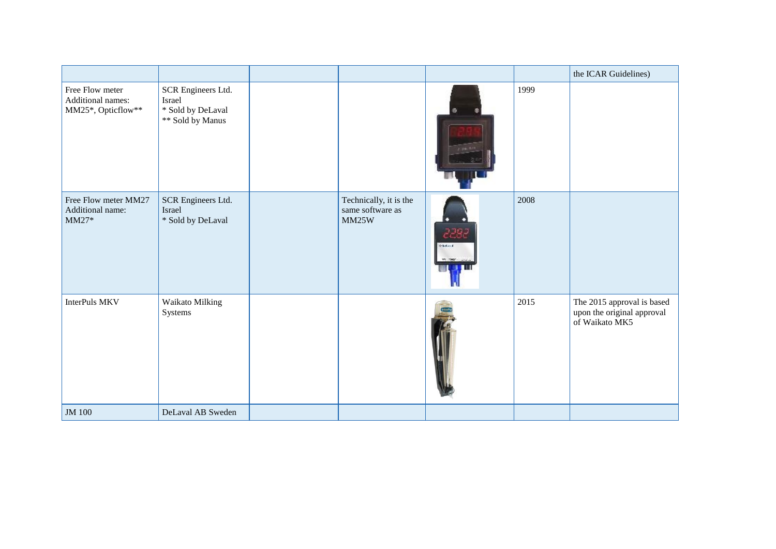|                                                            |                                                                       |                                                     |                        |      | the ICAR Guidelines)                                                       |
|------------------------------------------------------------|-----------------------------------------------------------------------|-----------------------------------------------------|------------------------|------|----------------------------------------------------------------------------|
| Free Flow meter<br>Additional names:<br>MM25*, Opticflow** | SCR Engineers Ltd.<br>Israel<br>* Sold by DeLaval<br>** Sold by Manus |                                                     | ۰                      | 1999 |                                                                            |
| Free Flow meter MM27<br>Additional name:<br>$MM27*$        | SCR Engineers Ltd.<br>Israel<br>* Sold by DeLaval                     | Technically, it is the<br>same software as<br>MM25W | 2292<br><b>Greeker</b> | 2008 |                                                                            |
| <b>InterPuls MKV</b>                                       | Waikato Milking<br>Systems                                            |                                                     |                        | 2015 | The 2015 approval is based<br>upon the original approval<br>of Waikato MK5 |
| JM 100                                                     | DeLaval AB Sweden                                                     |                                                     |                        |      |                                                                            |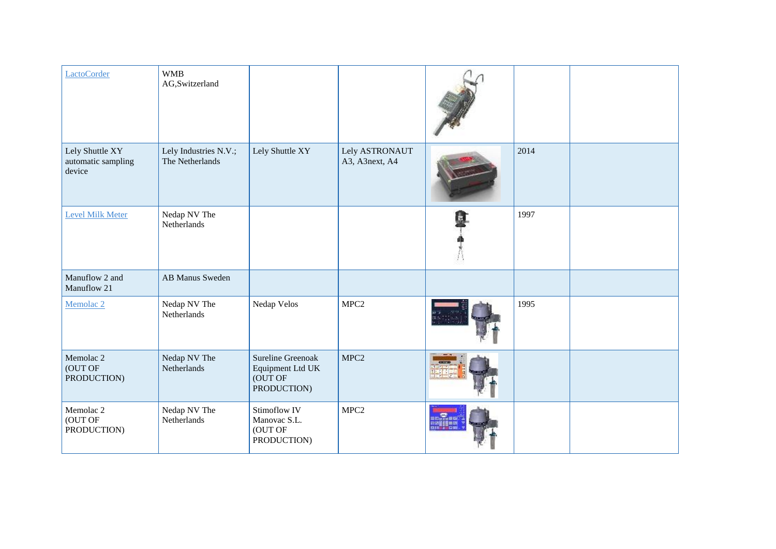| LactoCorder                                     | <b>WMB</b><br>AG,Switzerland             |                                                                 |                                  |      |  |
|-------------------------------------------------|------------------------------------------|-----------------------------------------------------------------|----------------------------------|------|--|
| Lely Shuttle XY<br>automatic sampling<br>device | Lely Industries N.V.;<br>The Netherlands | Lely Shuttle XY                                                 | Lely ASTRONAUT<br>A3, A3next, A4 | 2014 |  |
| <b>Level Milk Meter</b>                         | Nedap NV The<br>Netherlands              |                                                                 |                                  | 1997 |  |
| Manuflow 2 and<br>Manuflow 21                   | <b>AB Manus Sweden</b>                   |                                                                 |                                  |      |  |
| Memolac <sub>2</sub>                            | Nedap NV The<br>Netherlands              | Nedap Velos                                                     | MPC <sub>2</sub>                 | 1995 |  |
| Memolac <sub>2</sub><br>(OUT OF<br>PRODUCTION)  | Nedap NV The<br>Netherlands              | Sureline Greenoak<br>Equipment Ltd UK<br>(OUT OF<br>PRODUCTION) | MPC <sub>2</sub>                 |      |  |
| Memolac <sub>2</sub><br>(OUT OF<br>PRODUCTION)  | Nedap NV The<br>Netherlands              | Stimoflow IV<br>Manovac S.L.<br>(OUT OF<br>PRODUCTION)          | MPC <sub>2</sub>                 |      |  |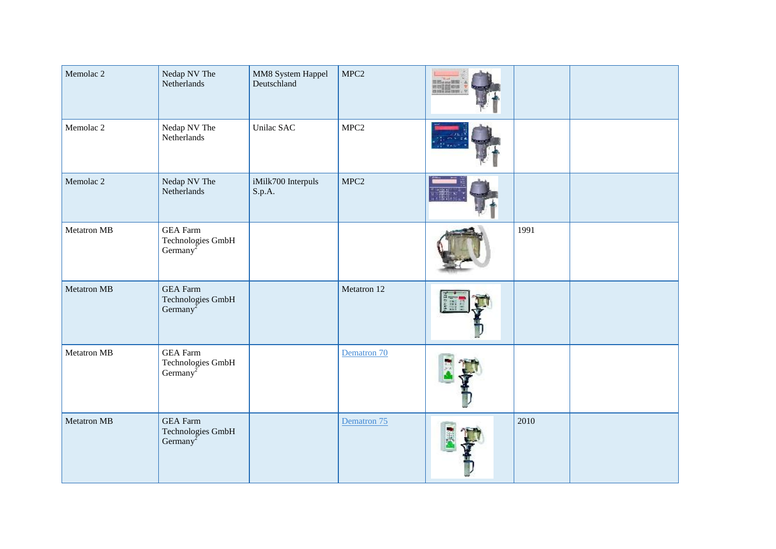| Memolac <sub>2</sub> | Nedap NV The<br>Netherlands                                                          | MM8 System Happel<br>Deutschland | MPC <sub>2</sub> | 第15am/第<br>※の言語の<br>il icros<br>II icens |      |  |
|----------------------|--------------------------------------------------------------------------------------|----------------------------------|------------------|------------------------------------------|------|--|
| Memolac <sub>2</sub> | Nedap NV The<br>Netherlands                                                          | Unilac SAC                       | MPC <sub>2</sub> |                                          |      |  |
| Memolac <sub>2</sub> | Nedap NV The<br>Netherlands                                                          | iMilk700 Interpuls<br>S.p.A.     | MPC <sub>2</sub> |                                          |      |  |
| Metatron MB          | <b>GEA</b> Farm<br>Technologies GmbH<br>Germany <sup><math>\tilde{z}</math></sup>    |                                  |                  |                                          | 1991 |  |
| Metatron MB          | <b>GEA</b> Farm<br>Technologies GmbH<br>Germany <sup><math>\overline{2}</math></sup> |                                  | Metatron 12      |                                          |      |  |
| <b>Metatron MB</b>   | <b>GEA</b> Farm<br>Technologies GmbH<br>Germany <sup><math>\tilde{z}</math></sup>    |                                  | Dematron 70      |                                          |      |  |
| Metatron MB          | <b>GEA</b> Farm<br>Technologies GmbH<br>Germany <sup><math>\zeta</math></sup>        |                                  | Dematron 75      |                                          | 2010 |  |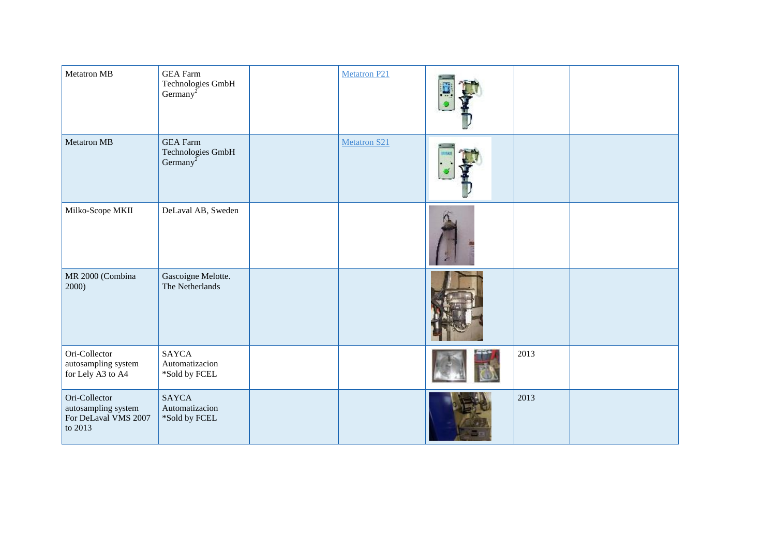| Metatron MB                                                             | <b>GEA</b> Farm<br>Technologies GmbH<br>Germany <sup>2</sup> | <b>Metatron P21</b> |      |  |
|-------------------------------------------------------------------------|--------------------------------------------------------------|---------------------|------|--|
| <b>Metatron MB</b>                                                      | <b>GEA</b> Farm<br>Technologies GmbH<br>Germany <sup>2</sup> | Metatron S21        |      |  |
| Milko-Scope MKII                                                        | DeLaval AB, Sweden                                           |                     |      |  |
| MR 2000 (Combina<br>2000)                                               | Gascoigne Melotte.<br>The Netherlands                        |                     |      |  |
| Ori-Collector<br>autosampling system<br>for Lely A3 to A4               | <b>SAYCA</b><br>Automatizacion<br>*Sold by FCEL              |                     | 2013 |  |
| Ori-Collector<br>autosampling system<br>For DeLaval VMS 2007<br>to 2013 | <b>SAYCA</b><br>Automatizacion<br>*Sold by FCEL              |                     | 2013 |  |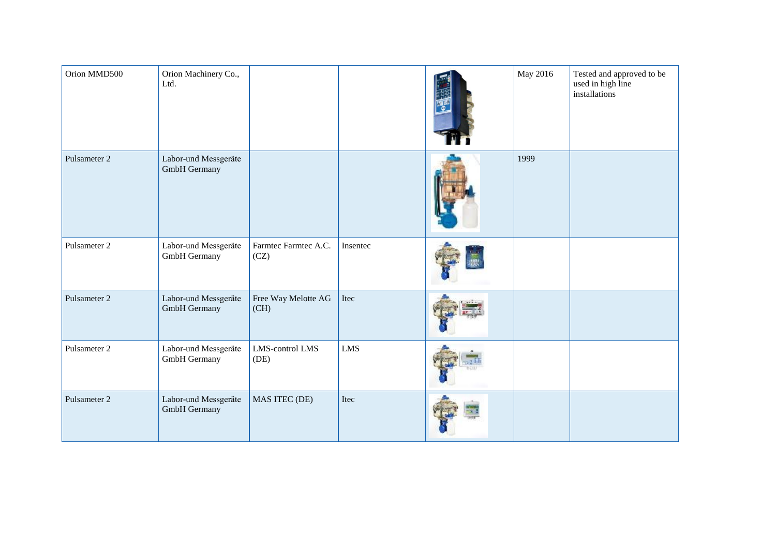| Orion MMD500 | Orion Machinery Co.,<br>Ltd.                |                              |            | May 2016 | Tested and approved to be<br>used in high line<br>installations |
|--------------|---------------------------------------------|------------------------------|------------|----------|-----------------------------------------------------------------|
| Pulsameter 2 | Labor-und Messgeräte<br>GmbH Germany        |                              |            | 1999     |                                                                 |
| Pulsameter 2 | Labor-und Messgeräte<br>GmbH Germany        | Farmtec Farmtec A.C.<br>(CZ) | Insentec   |          |                                                                 |
| Pulsameter 2 | Labor-und Messgeräte<br>GmbH Germany        | Free Way Melotte AG<br>(CH)  | Itec       |          |                                                                 |
| Pulsameter 2 | Labor-und Messgeräte<br>GmbH Germany        | LMS-control LMS<br>(DE)      | <b>LMS</b> |          |                                                                 |
| Pulsameter 2 | Labor-und Messgeräte<br><b>GmbH</b> Germany | MAS ITEC (DE)                | Itec       |          |                                                                 |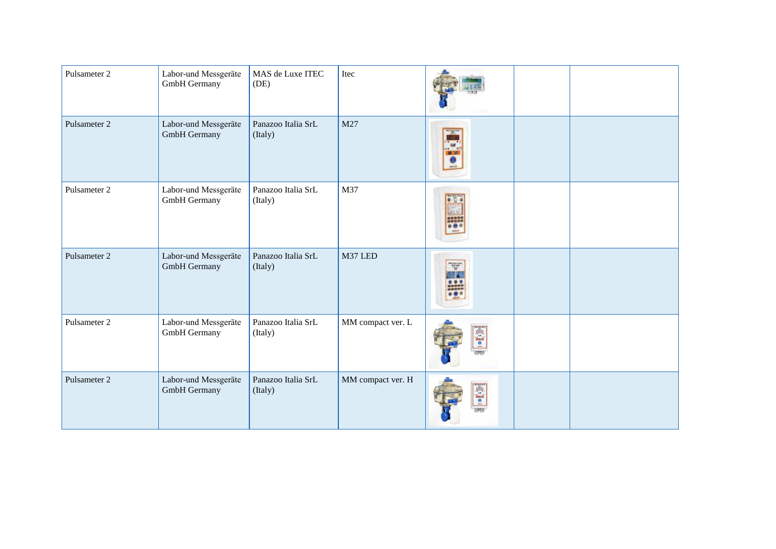| Pulsameter 2 | Labor-und Messgeräte<br>GmbH Germany        | MAS de Luxe ITEC<br>(DE)      | Itec              |                    |  |
|--------------|---------------------------------------------|-------------------------------|-------------------|--------------------|--|
| Pulsameter 2 | Labor-und Messgeräte<br>GmbH Germany        | Panazoo Italia SrL<br>(Italy) | M27               | . 5                |  |
| Pulsameter 2 | Labor-und Messgeräte<br>GmbH Germany        | Panazoo Italia SrL<br>(Italy) | M37               |                    |  |
| Pulsameter 2 | Labor-und Messgeräte<br><b>GmbH</b> Germany | Panazoo Italia SrL<br>(Italy) | M37 LED           | Ŧ<br>100 621 871 8 |  |
| Pulsameter 2 | Labor-und Messgeräte<br>GmbH Germany        | Panazoo Italia SrL<br>(Italy) | MM compact ver. L | S.                 |  |
| Pulsameter 2 | Labor-und Messgeräte<br>GmbH Germany        | Panazoo Italia SrL<br>(Italy) | MM compact ver. H | 画面                 |  |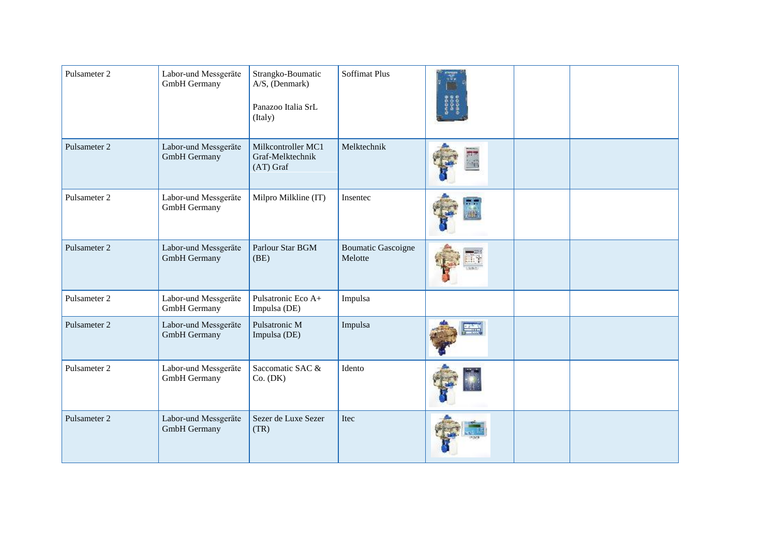| Pulsameter 2 | Labor-und Messgeräte<br>GmbH Germany | Strangko-Boumatic<br>A/S, (Denmark)<br>Panazoo Italia SrL<br>(Italy) | <b>Soffimat Plus</b>                 |  |  |
|--------------|--------------------------------------|----------------------------------------------------------------------|--------------------------------------|--|--|
| Pulsameter 2 | Labor-und Messgeräte<br>GmbH Germany | Milkcontroller MC1<br>Graf-Melktechnik<br>$(AT)$ Graf                | Melktechnik                          |  |  |
| Pulsameter 2 | Labor-und Messgeräte<br>GmbH Germany | Milpro Milkline (IT)                                                 | Insentec                             |  |  |
| Pulsameter 2 | Labor-und Messgeräte<br>GmbH Germany | Parlour Star BGM<br>(BE)                                             | <b>Boumatic Gascoigne</b><br>Melotte |  |  |
| Pulsameter 2 | Labor-und Messgeräte<br>GmbH Germany | Pulsatronic Eco A+<br>Impulsa (DE)                                   | Impulsa                              |  |  |
| Pulsameter 2 | Labor-und Messgeräte<br>GmbH Germany | Pulsatronic M<br>Impulsa (DE)                                        | Impulsa                              |  |  |
| Pulsameter 2 | Labor-und Messgeräte<br>GmbH Germany | Saccomatic SAC &<br>Co. (DK)                                         | Idento                               |  |  |
| Pulsameter 2 | Labor-und Messgeräte<br>GmbH Germany | Sezer de Luxe Sezer<br>(TR)                                          | Itec                                 |  |  |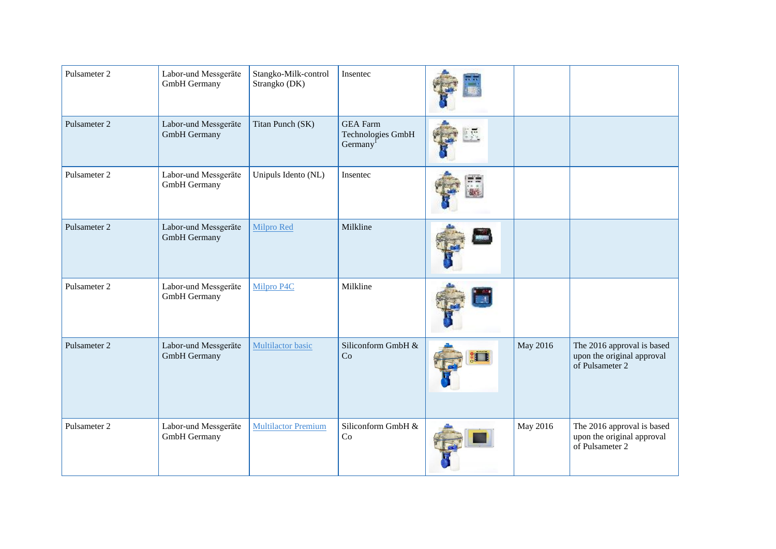| Pulsameter 2 | Labor-und Messgeräte<br>GmbH Germany        | Stangko-Milk-control<br>Strangko (DK) | Insentec                                                            |          |                                                                             |
|--------------|---------------------------------------------|---------------------------------------|---------------------------------------------------------------------|----------|-----------------------------------------------------------------------------|
| Pulsameter 2 | Labor-und Messgeräte<br>GmbH Germany        | Titan Punch (SK)                      | <b>GEA</b> Farm<br><b>Technologies GmbH</b><br>Germany <sup>1</sup> |          |                                                                             |
| Pulsameter 2 | Labor-und Messgeräte<br>GmbH Germany        | Unipuls Idento (NL)                   | Insentec                                                            |          |                                                                             |
| Pulsameter 2 | Labor-und Messgeräte<br><b>GmbH</b> Germany | <b>Milpro Red</b>                     | Milkline                                                            |          |                                                                             |
| Pulsameter 2 | Labor-und Messgeräte<br>GmbH Germany        | Milpro P4C                            | Milkline                                                            |          |                                                                             |
| Pulsameter 2 | Labor-und Messgeräte<br>GmbH Germany        | Multilactor basic                     | Siliconform GmbH &<br>Co                                            | May 2016 | The 2016 approval is based<br>upon the original approval<br>of Pulsameter 2 |
| Pulsameter 2 | Labor-und Messgeräte<br>GmbH Germany        | <b>Multilactor Premium</b>            | Siliconform GmbH &<br>Co                                            | May 2016 | The 2016 approval is based<br>upon the original approval<br>of Pulsameter 2 |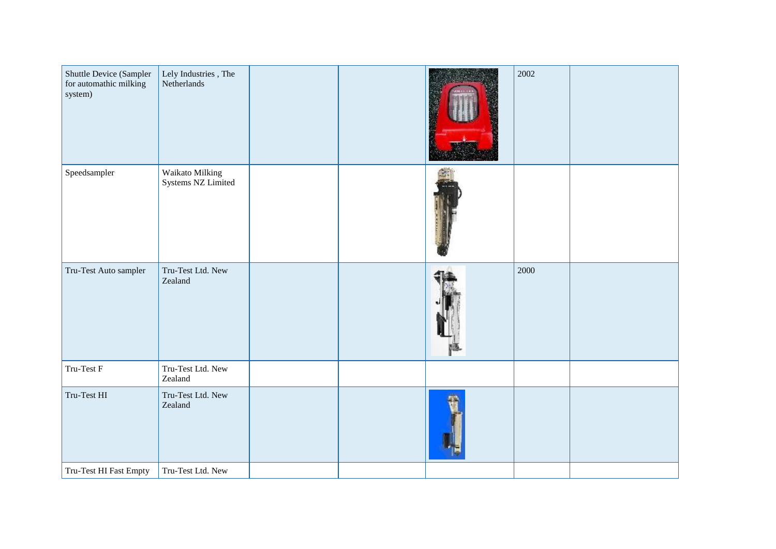| Shuttle Device (Sampler<br>for automathic milking<br>system) | Lely Industries , The<br>Netherlands  |  | 2002 |  |
|--------------------------------------------------------------|---------------------------------------|--|------|--|
| ${\bf Speed sampler}$                                        | Waikato Milking<br>Systems NZ Limited |  |      |  |
| Tru-Test Auto sampler                                        | Tru-Test Ltd. New<br>Zealand          |  | 2000 |  |
| Tru-Test F                                                   | Tru-Test Ltd. New<br>Zealand          |  |      |  |
| Tru-Test HI                                                  | Tru-Test Ltd. New<br>Zealand          |  |      |  |
| Tru-Test HI Fast Empty                                       | Tru-Test Ltd. New                     |  |      |  |